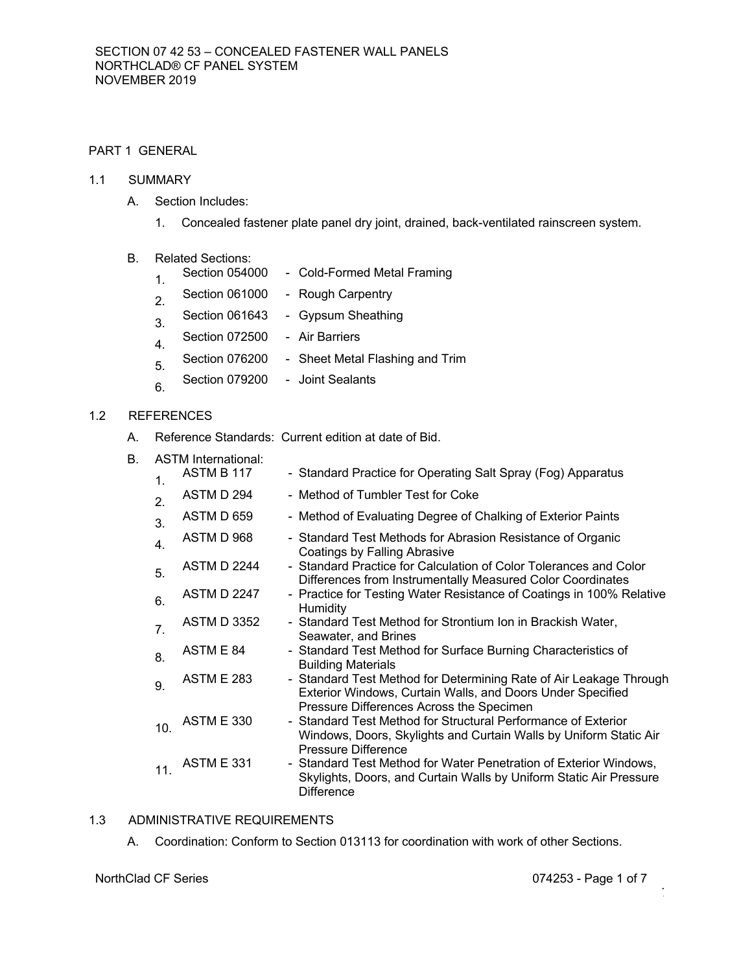# PART 1 GENERAL

# 1.1 SUMMARY

- A. Section Includes:
	- 1. Concealed fastener plate panel dry joint, drained, back-ventilated rainscreen system.
- B. Related Sections:
	- 1. Section 054000 Cold-Formed Metal Framing
	- 2. Section 061000 Rough Carpentry
	- 3. Section 061643 Gypsum Sheathing
	- 4. Section 072500 Air Barriers
	- 5. Section 076200 Sheet Metal Flashing and Trim
	- 6. Section 079200 Joint Sealants

# 1.2 REFERENCES

- A. Reference Standards: Current edition at date of Bid.
- B. ASTM International:

| $\mathbf{1}$ . | ASTM B 117         | - Standard Practice for Operating Salt Spray (Fog) Apparatus                                                                                                                 |
|----------------|--------------------|------------------------------------------------------------------------------------------------------------------------------------------------------------------------------|
| 2.             | ASTM D 294         | - Method of Tumbler Test for Coke                                                                                                                                            |
| 3.             | ASTM D 659         | - Method of Evaluating Degree of Chalking of Exterior Paints                                                                                                                 |
| 4.             | ASTM D 968         | - Standard Test Methods for Abrasion Resistance of Organic<br>Coatings by Falling Abrasive                                                                                   |
| 5.             | <b>ASTM D 2244</b> | - Standard Practice for Calculation of Color Tolerances and Color<br>Differences from Instrumentally Measured Color Coordinates                                              |
| 6.             | <b>ASTM D 2247</b> | - Practice for Testing Water Resistance of Coatings in 100% Relative<br>Humidity                                                                                             |
| 7 <sub>1</sub> | <b>ASTM D 3352</b> | - Standard Test Method for Strontium Ion in Brackish Water,<br>Seawater, and Brines                                                                                          |
| 8.             | ASTM E 84          | - Standard Test Method for Surface Burning Characteristics of<br><b>Building Materials</b>                                                                                   |
| 9.             | <b>ASTM E 283</b>  | - Standard Test Method for Determining Rate of Air Leakage Through<br>Exterior Windows, Curtain Walls, and Doors Under Specified<br>Pressure Differences Across the Specimen |
| 10.            | <b>ASTM E 330</b>  | - Standard Test Method for Structural Performance of Exterior<br>Windows, Doors, Skylights and Curtain Walls by Uniform Static Air<br>Pressure Difference                    |
| 11.            | <b>ASTM E 331</b>  | - Standard Test Method for Water Penetration of Exterior Windows,<br>Skylights, Doors, and Curtain Walls by Uniform Static Air Pressure<br><b>Difference</b>                 |

# 1.3 ADMINISTRATIVE REQUIREMENTS

A. Coordination: Conform to Section 013113 for coordination with work of other Sections.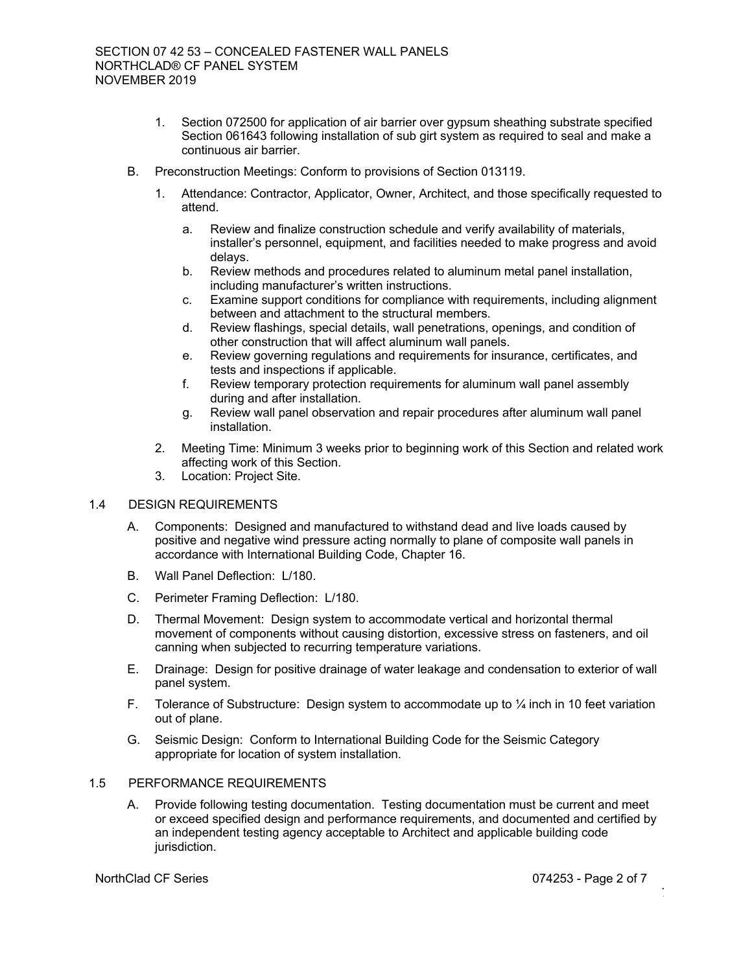- 1. Section 072500 for application of air barrier over gypsum sheathing substrate specified Section 061643 following installation of sub girt system as required to seal and make a continuous air barrier.
- B. Preconstruction Meetings: Conform to provisions of Section 013119.
	- 1. Attendance: Contractor, Applicator, Owner, Architect, and those specifically requested to attend.
		- a. Review and finalize construction schedule and verify availability of materials, installer's personnel, equipment, and facilities needed to make progress and avoid delays.
		- b. Review methods and procedures related to aluminum metal panel installation, including manufacturer's written instructions.
		- c. Examine support conditions for compliance with requirements, including alignment between and attachment to the structural members.
		- d. Review flashings, special details, wall penetrations, openings, and condition of other construction that will affect aluminum wall panels.
		- e. Review governing regulations and requirements for insurance, certificates, and tests and inspections if applicable.
		- f. Review temporary protection requirements for aluminum wall panel assembly during and after installation.
		- g. Review wall panel observation and repair procedures after aluminum wall panel installation.
	- 2. Meeting Time: Minimum 3 weeks prior to beginning work of this Section and related work affecting work of this Section.
	- 3. Location: Project Site.

## 1.4 DESIGN REQUIREMENTS

- A. Components: Designed and manufactured to withstand dead and live loads caused by positive and negative wind pressure acting normally to plane of composite wall panels in accordance with International Building Code, Chapter 16.
- B. Wall Panel Deflection: L/180.
- C. Perimeter Framing Deflection: L/180.
- D. Thermal Movement: Design system to accommodate vertical and horizontal thermal movement of components without causing distortion, excessive stress on fasteners, and oil canning when subjected to recurring temperature variations.
- E. Drainage: Design for positive drainage of water leakage and condensation to exterior of wall panel system.
- F. Tolerance of Substructure: Design system to accommodate up to  $\frac{1}{4}$  inch in 10 feet variation out of plane.
- G. Seismic Design: Conform to International Building Code for the Seismic Category appropriate for location of system installation.

# 1.5 PERFORMANCE REQUIREMENTS

A. Provide following testing documentation. Testing documentation must be current and meet or exceed specified design and performance requirements, and documented and certified by an independent testing agency acceptable to Architect and applicable building code jurisdiction.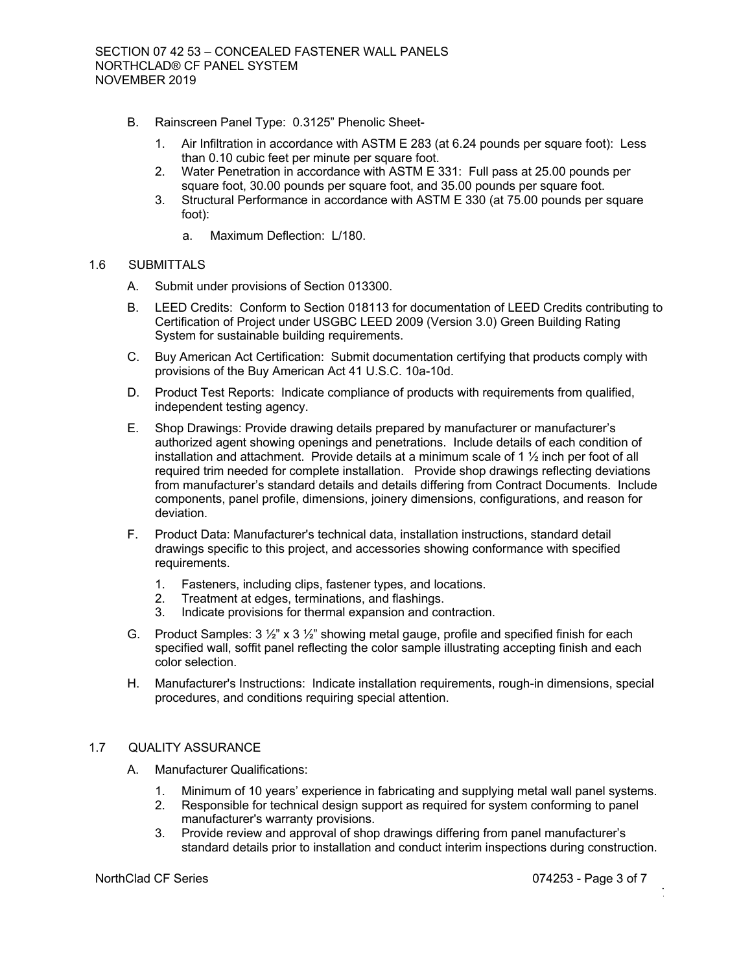- B. Rainscreen Panel Type: 0.3125" Phenolic Sheet-
	- 1. Air Infiltration in accordance with ASTM E 283 (at 6.24 pounds per square foot): Less than 0.10 cubic feet per minute per square foot.
	- 2. Water Penetration in accordance with ASTM E 331: Full pass at 25.00 pounds per square foot, 30.00 pounds per square foot, and 35.00 pounds per square foot.
	- 3. Structural Performance in accordance with ASTM E 330 (at 75.00 pounds per square foot):
		- a. Maximum Deflection: L/180.

## 1.6 SUBMITTALS

- A. Submit under provisions of Section 013300.
- B. LEED Credits: Conform to Section 018113 for documentation of LEED Credits contributing to Certification of Project under USGBC LEED 2009 (Version 3.0) Green Building Rating System for sustainable building requirements.
- C. Buy American Act Certification: Submit documentation certifying that products comply with provisions of the Buy American Act 41 U.S.C. 10a-10d.
- D. Product Test Reports: Indicate compliance of products with requirements from qualified, independent testing agency.
- E. Shop Drawings: Provide drawing details prepared by manufacturer or manufacturer's authorized agent showing openings and penetrations. Include details of each condition of installation and attachment. Provide details at a minimum scale of 1 ½ inch per foot of all required trim needed for complete installation. Provide shop drawings reflecting deviations from manufacturer's standard details and details differing from Contract Documents. Include components, panel profile, dimensions, joinery dimensions, configurations, and reason for deviation.
- F. Product Data: Manufacturer's technical data, installation instructions, standard detail drawings specific to this project, and accessories showing conformance with specified requirements.
	- 1. Fasteners, including clips, fastener types, and locations.
	- 2. Treatment at edges, terminations, and flashings.
	- 3. Indicate provisions for thermal expansion and contraction.
- G. Product Samples:  $3 \frac{1}{2}$ " x  $3 \frac{1}{2}$ " showing metal gauge, profile and specified finish for each specified wall, soffit panel reflecting the color sample illustrating accepting finish and each color selection.
- H. Manufacturer's Instructions: Indicate installation requirements, rough-in dimensions, special procedures, and conditions requiring special attention.

## 1.7 QUALITY ASSURANCE

- A. Manufacturer Qualifications:
	- 1. Minimum of 10 years' experience in fabricating and supplying metal wall panel systems.
	- 2. Responsible for technical design support as required for system conforming to panel manufacturer's warranty provisions.
	- 3. Provide review and approval of shop drawings differing from panel manufacturer's standard details prior to installation and conduct interim inspections during construction.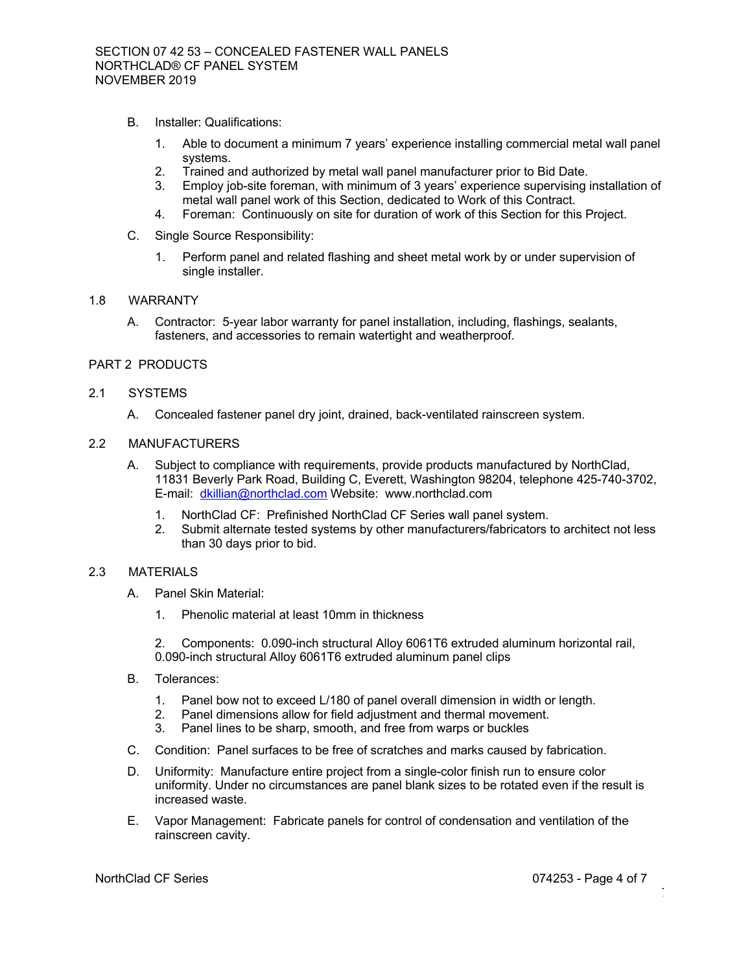- B. Installer: Qualifications:
	- 1. Able to document a minimum 7 years' experience installing commercial metal wall panel systems.
	- 2. Trained and authorized by metal wall panel manufacturer prior to Bid Date.
	- 3. Employ job-site foreman, with minimum of 3 years' experience supervising installation of metal wall panel work of this Section, dedicated to Work of this Contract.
	- 4. Foreman: Continuously on site for duration of work of this Section for this Project.
- C. Single Source Responsibility:
	- 1. Perform panel and related flashing and sheet metal work by or under supervision of single installer.

## 1.8 WARRANTY

A. Contractor: 5-year labor warranty for panel installation, including, flashings, sealants, fasteners, and accessories to remain watertight and weatherproof.

# PART 2 PRODUCTS

## 2.1 SYSTEMS

A. Concealed fastener panel dry joint, drained, back-ventilated rainscreen system.

## 2.2 MANUFACTURERS

- A. Subject to compliance with requirements, provide products manufactured by NorthClad, 11831 Beverly Park Road, Building C, Everett, Washington 98204, telephone 425-740-3702, E-mail: dkillian@northclad.com Website: www.northclad.com
	- 1. NorthClad CF: Prefinished NorthClad CF Series wall panel system.
	- 2. Submit alternate tested systems by other manufacturers/fabricators to architect not less than 30 days prior to bid.

## 2.3 MATERIALS

- A. Panel Skin Material:
	- 1. Phenolic material at least 10mm in thickness

2. Components: 0.090-inch structural Alloy 6061T6 extruded aluminum horizontal rail, 0.090-inch structural Alloy 6061T6 extruded aluminum panel clips

- B. Tolerances:
	- 1. Panel bow not to exceed L/180 of panel overall dimension in width or length.
	- 2. Panel dimensions allow for field adjustment and thermal movement.
	- 3. Panel lines to be sharp, smooth, and free from warps or buckles
- C. Condition: Panel surfaces to be free of scratches and marks caused by fabrication.
- D. Uniformity: Manufacture entire project from a single-color finish run to ensure color uniformity. Under no circumstances are panel blank sizes to be rotated even if the result is increased waste.
- E. Vapor Management: Fabricate panels for control of condensation and ventilation of the rainscreen cavity.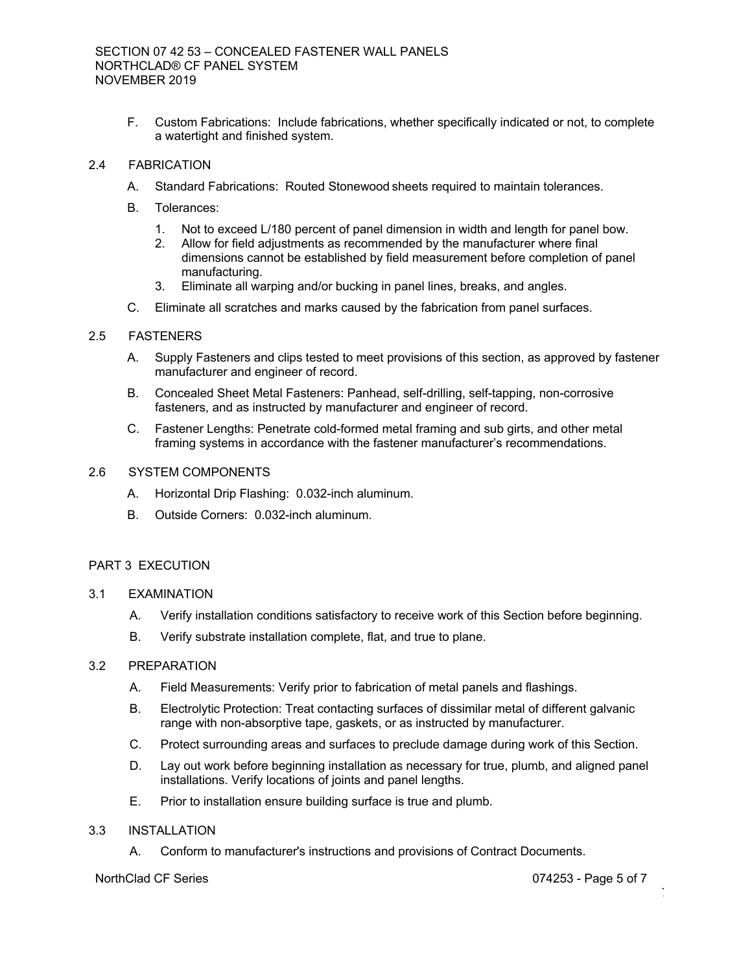F. Custom Fabrications: Include fabrications, whether specifically indicated or not, to complete a watertight and finished system.

# 2.4 FABRICATION

- A. Standard Fabrications: Routed Stonewood sheets required to maintain tolerances.
- B. Tolerances:
	- 1. Not to exceed L/180 percent of panel dimension in width and length for panel bow.
	- 2. Allow for field adjustments as recommended by the manufacturer where final dimensions cannot be established by field measurement before completion of panel manufacturing.
	- 3. Eliminate all warping and/or bucking in panel lines, breaks, and angles.
- C. Eliminate all scratches and marks caused by the fabrication from panel surfaces.

# 2.5 FASTENERS

- A. Supply Fasteners and clips tested to meet provisions of this section, as approved by fastener manufacturer and engineer of record.
- B. Concealed Sheet Metal Fasteners: Panhead, self-drilling, self-tapping, non-corrosive fasteners, and as instructed by manufacturer and engineer of record.
- C. Fastener Lengths: Penetrate cold-formed metal framing and sub girts, and other metal framing systems in accordance with the fastener manufacturer's recommendations.

# 2.6 SYSTEM COMPONENTS

- A. Horizontal Drip Flashing: 0.032-inch aluminum.
- B. Outside Corners: 0.032-inch aluminum.

## PART 3 EXECUTION

- 3.1 EXAMINATION
	- A. Verify installation conditions satisfactory to receive work of this Section before beginning.
	- B. Verify substrate installation complete, flat, and true to plane.

## 3.2 PREPARATION

- A. Field Measurements: Verify prior to fabrication of metal panels and flashings.
- B. Electrolytic Protection: Treat contacting surfaces of dissimilar metal of different galvanic range with non-absorptive tape, gaskets, or as instructed by manufacturer.
- C. Protect surrounding areas and surfaces to preclude damage during work of this Section.
- D. Lay out work before beginning installation as necessary for true, plumb, and aligned panel installations. Verify locations of joints and panel lengths.
- E. Prior to installation ensure building surface is true and plumb.

# 3.3 INSTALLATION

A. Conform to manufacturer's instructions and provisions of Contract Documents.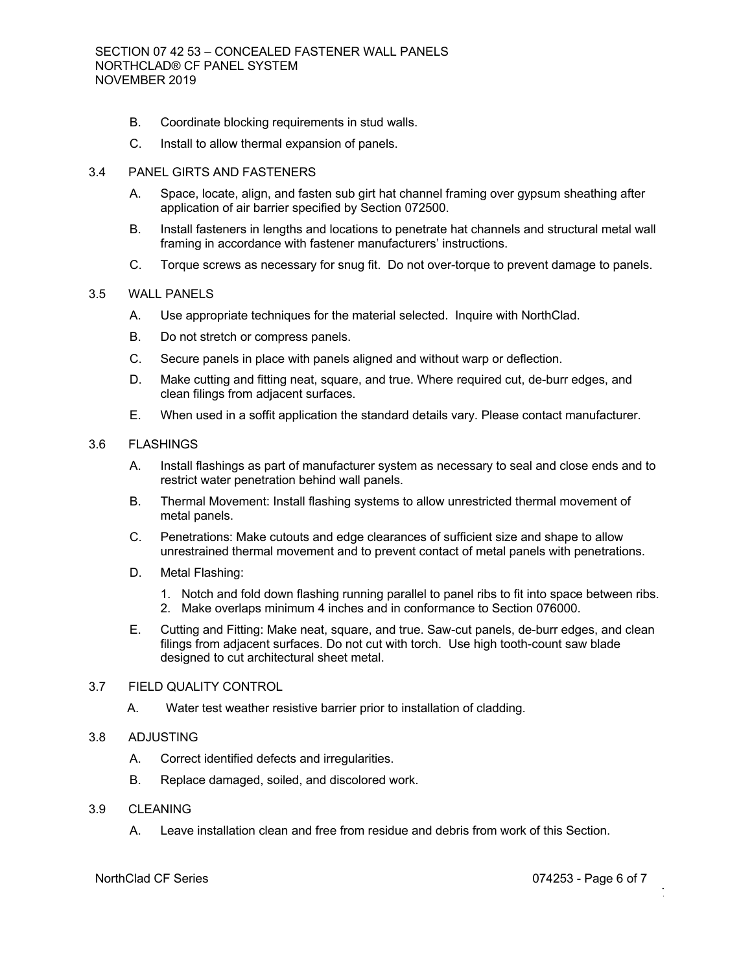- B. Coordinate blocking requirements in stud walls.
- C. Install to allow thermal expansion of panels.

#### 3.4 PANEL GIRTS AND FASTENERS

- A. Space, locate, align, and fasten sub girt hat channel framing over gypsum sheathing after application of air barrier specified by Section 072500.
- B. Install fasteners in lengths and locations to penetrate hat channels and structural metal wall framing in accordance with fastener manufacturers' instructions.
- C. Torque screws as necessary for snug fit. Do not over-torque to prevent damage to panels.

# 3.5 WALL PANELS

- A. Use appropriate techniques for the material selected. Inquire with NorthClad.
- B. Do not stretch or compress panels.
- C. Secure panels in place with panels aligned and without warp or deflection.
- D. Make cutting and fitting neat, square, and true. Where required cut, de-burr edges, and clean filings from adjacent surfaces.
- E. When used in a soffit application the standard details vary. Please contact manufacturer.

#### 3.6 FLASHINGS

- A. Install flashings as part of manufacturer system as necessary to seal and close ends and to restrict water penetration behind wall panels.
- B. Thermal Movement: Install flashing systems to allow unrestricted thermal movement of metal panels.
- C. Penetrations: Make cutouts and edge clearances of sufficient size and shape to allow unrestrained thermal movement and to prevent contact of metal panels with penetrations.
- D. Metal Flashing:
	- 1. Notch and fold down flashing running parallel to panel ribs to fit into space between ribs.
	- 2. Make overlaps minimum 4 inches and in conformance to Section 076000.
- E. Cutting and Fitting: Make neat, square, and true. Saw-cut panels, de-burr edges, and clean filings from adjacent surfaces. Do not cut with torch. Use high tooth-count saw blade designed to cut architectural sheet metal.

#### 3.7 FIELD QUALITY CONTROL

A. Water test weather resistive barrier prior to installation of cladding.

# 3.8 ADJUSTING

- A. Correct identified defects and irregularities.
- B. Replace damaged, soiled, and discolored work.

## 3.9 CLEANING

A. Leave installation clean and free from residue and debris from work of this Section.